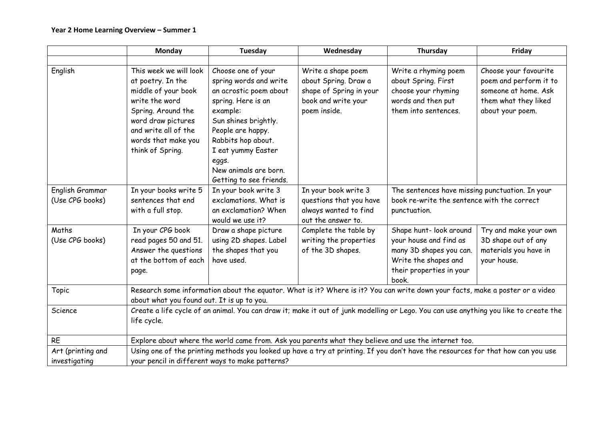|                                    | <b>Monday</b>                                                                                                                                                                                       | Tuesday                                                                                                                                                                                                                                                        | Wednesday                                                                                                    | Thursday                                                                                                                                  | Friday                                                                                                              |
|------------------------------------|-----------------------------------------------------------------------------------------------------------------------------------------------------------------------------------------------------|----------------------------------------------------------------------------------------------------------------------------------------------------------------------------------------------------------------------------------------------------------------|--------------------------------------------------------------------------------------------------------------|-------------------------------------------------------------------------------------------------------------------------------------------|---------------------------------------------------------------------------------------------------------------------|
|                                    |                                                                                                                                                                                                     |                                                                                                                                                                                                                                                                |                                                                                                              |                                                                                                                                           |                                                                                                                     |
| English                            | This week we will look<br>at poetry. In the<br>middle of your book<br>write the word<br>Spring. Around the<br>word draw pictures<br>and write all of the<br>words that make you<br>think of Spring. | Choose one of your<br>spring words and write<br>an acrostic poem about<br>spring. Here is an<br>example:<br>Sun shines brightly.<br>People are happy.<br>Rabbits hop about.<br>I eat yummy Easter<br>eggs.<br>New animals are born.<br>Getting to see friends. | Write a shape poem<br>about Spring. Draw a<br>shape of Spring in your<br>book and write your<br>poem inside. | Write a rhyming poem<br>about Spring. First<br>choose your rhyming<br>words and then put<br>them into sentences.                          | Choose your favourite<br>poem and perform it to<br>someone at home. Ask<br>them what they liked<br>about your poem. |
| English Grammar<br>(Use CPG books) | In your books write 5<br>sentences that end<br>with a full stop.                                                                                                                                    | In your book write 3<br>exclamations. What is<br>an exclamation? When<br>would we use it?                                                                                                                                                                      | In your book write 3<br>questions that you have<br>always wanted to find<br>out the answer to.               | The sentences have missing punctuation. In your<br>book re-write the sentence with the correct<br>punctuation.                            |                                                                                                                     |
| Maths<br>(Use CPG books)           | In your CPG book<br>read pages 50 and 51.<br>Answer the questions<br>at the bottom of each<br>page.                                                                                                 | Draw a shape picture<br>using 2D shapes. Label<br>the shapes that you<br>have used.                                                                                                                                                                            | Complete the table by<br>writing the properties<br>of the 3D shapes.                                         | Shape hunt- look around<br>your house and find as<br>many 3D shapes you can.<br>Write the shapes and<br>their properties in your<br>book. | Try and make your own<br>3D shape out of any<br>materials you have in<br>your house.                                |
| Topic                              | Research some information about the equator. What is it? Where is it? You can write down your facts, make a poster or a video<br>about what you found out. It is up to you.                         |                                                                                                                                                                                                                                                                |                                                                                                              |                                                                                                                                           |                                                                                                                     |
| Science                            | Create a life cycle of an animal. You can draw it; make it out of junk modelling or Lego. You can use anything you like to create the<br>life cycle.                                                |                                                                                                                                                                                                                                                                |                                                                                                              |                                                                                                                                           |                                                                                                                     |
| <b>RE</b>                          | Explore about where the world came from. Ask you parents what they believe and use the internet too.                                                                                                |                                                                                                                                                                                                                                                                |                                                                                                              |                                                                                                                                           |                                                                                                                     |
| Art (printing and<br>investigating | Using one of the printing methods you looked up have a try at printing. If you don't have the resources for that how can you use<br>your pencil in different ways to make patterns?                 |                                                                                                                                                                                                                                                                |                                                                                                              |                                                                                                                                           |                                                                                                                     |